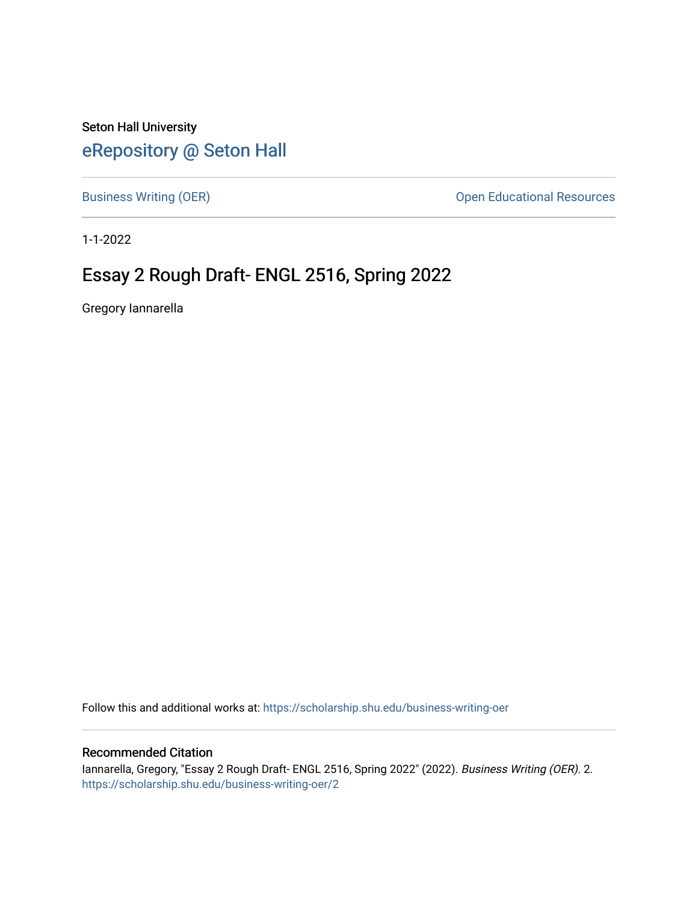Seton Hall University [eRepository @ Seton Hall](https://scholarship.shu.edu/)

[Business Writing \(OER\)](https://scholarship.shu.edu/business-writing-oer) **Open Educational Resources Open Educational Resources** 

1-1-2022

## Essay 2 Rough Draft- ENGL 2516, Spring 2022

Gregory Iannarella

Follow this and additional works at: [https://scholarship.shu.edu/business-writing-oer](https://scholarship.shu.edu/business-writing-oer?utm_source=scholarship.shu.edu%2Fbusiness-writing-oer%2F2&utm_medium=PDF&utm_campaign=PDFCoverPages) 

## Recommended Citation

Iannarella, Gregory, "Essay 2 Rough Draft- ENGL 2516, Spring 2022" (2022). Business Writing (OER). 2. [https://scholarship.shu.edu/business-writing-oer/2](https://scholarship.shu.edu/business-writing-oer/2?utm_source=scholarship.shu.edu%2Fbusiness-writing-oer%2F2&utm_medium=PDF&utm_campaign=PDFCoverPages)